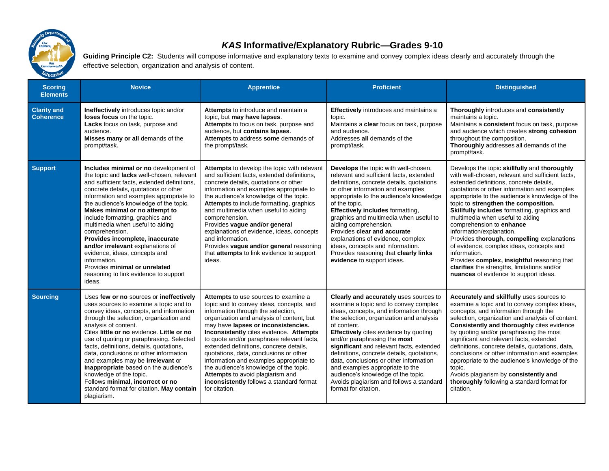

## *KAS* **Informative/Explanatory Rubric—Grades 9-10**

Guiding Principle C2: Students will compose informative and explanatory texts to examine and convey complex ideas clearly and accurately through the effective selection, organization and analysis of content.

| <b>Scoring</b><br><b>Elements</b>      | <b>Novice</b>                                                                                                                                                                                                                                                                                                                                                                                                                                                                                                                                                                                            | <b>Apprentice</b>                                                                                                                                                                                                                                                                                                                                                                                                                                                                                                                                                              | <b>Proficient</b>                                                                                                                                                                                                                                                                                                                                                                                                                                                                                                                                | <b>Distinguished</b>                                                                                                                                                                                                                                                                                                                                                                                                                                                                                                                                                                                                                                                               |
|----------------------------------------|----------------------------------------------------------------------------------------------------------------------------------------------------------------------------------------------------------------------------------------------------------------------------------------------------------------------------------------------------------------------------------------------------------------------------------------------------------------------------------------------------------------------------------------------------------------------------------------------------------|--------------------------------------------------------------------------------------------------------------------------------------------------------------------------------------------------------------------------------------------------------------------------------------------------------------------------------------------------------------------------------------------------------------------------------------------------------------------------------------------------------------------------------------------------------------------------------|--------------------------------------------------------------------------------------------------------------------------------------------------------------------------------------------------------------------------------------------------------------------------------------------------------------------------------------------------------------------------------------------------------------------------------------------------------------------------------------------------------------------------------------------------|------------------------------------------------------------------------------------------------------------------------------------------------------------------------------------------------------------------------------------------------------------------------------------------------------------------------------------------------------------------------------------------------------------------------------------------------------------------------------------------------------------------------------------------------------------------------------------------------------------------------------------------------------------------------------------|
| <b>Clarity and</b><br><b>Coherence</b> | Ineffectively introduces topic and/or<br>loses focus on the topic.<br>Lacks focus on task, purpose and<br>audience.<br>Misses many or all demands of the<br>prompt/task.                                                                                                                                                                                                                                                                                                                                                                                                                                 | Attempts to introduce and maintain a<br>topic, but may have lapses.<br>Attempts to focus on task, purpose and<br>audience, but contains lapses.<br>Attempts to address some demands of<br>the prompt/task.                                                                                                                                                                                                                                                                                                                                                                     | <b>Effectively</b> introduces and maintains a<br>topic.<br>Maintains a clear focus on task, purpose<br>and audience.<br>Addresses all demands of the<br>prompt/task.                                                                                                                                                                                                                                                                                                                                                                             | Thoroughly introduces and consistently<br>maintains a topic.<br>Maintains a consistent focus on task, purpose<br>and audience which creates strong cohesion<br>throughout the composition.<br>Thoroughly addresses all demands of the<br>prompt/task.                                                                                                                                                                                                                                                                                                                                                                                                                              |
| <b>Support</b>                         | Includes minimal or no development of<br>the topic and lacks well-chosen, relevant<br>and sufficient facts, extended definitions,<br>concrete details, quotations or other<br>information and examples appropriate to<br>the audience's knowledge of the topic.<br>Makes minimal or no attempt to<br>include formatting, graphics and<br>multimedia when useful to aiding<br>comprehension.<br>Provides incomplete, inaccurate<br>and/or irrelevant explanations of<br>evidence, ideas, concepts and<br>information.<br>Provides minimal or unrelated<br>reasoning to link evidence to support<br>ideas. | Attempts to develop the topic with relevant<br>and sufficient facts, extended definitions,<br>concrete details, quotations or other<br>information and examples appropriate to<br>the audience's knowledge of the topic.<br><b>Attempts</b> to include formatting, graphics<br>and multimedia when useful to aiding<br>comprehension.<br>Provides vague and/or general<br>explanations of evidence, ideas, concepts<br>and information.<br>Provides vaque and/or general reasoning<br>that attempts to link evidence to support<br>ideas.                                      | Develops the topic with well-chosen,<br>relevant and sufficient facts, extended<br>definitions, concrete details, quotations<br>or other information and examples<br>appropriate to the audience's knowledge<br>of the topic.<br><b>Effectively includes formatting,</b><br>graphics and multimedia when useful to<br>aiding comprehension.<br>Provides clear and accurate<br>explanations of evidence, complex<br>ideas, concepts and information.<br>Provides reasoning that clearly links<br>evidence to support ideas.                       | Develops the topic skillfully and thoroughly<br>with well-chosen, relevant and sufficient facts.<br>extended definitions, concrete details,<br>quotations or other information and examples<br>appropriate to the audience's knowledge of the<br>topic to strengthen the composition.<br>Skillfully includes formatting, graphics and<br>multimedia when useful to aiding<br>comprehension to enhance<br>information/explanation.<br>Provides thorough, compelling explanations<br>of evidence, complex ideas, concepts and<br>information.<br>Provides complex, insightful reasoning that<br>clarifies the strengths, limitations and/or<br>nuances of evidence to support ideas. |
| <b>Sourcing</b>                        | Uses few or no sources or ineffectively<br>uses sources to examine a topic and to<br>convey ideas, concepts, and information<br>through the selection, organization and<br>analysis of content.<br>Cites little or no evidence. Little or no<br>use of quoting or paraphrasing. Selected<br>facts, definitions, details, quotations,<br>data, conclusions or other information<br>and examples may be irrelevant or<br>inappropriate based on the audience's<br>knowledge of the topic.<br>Follows minimal, incorrect or no<br>standard format for citation. May contain<br>plagiarism.                  | Attempts to use sources to examine a<br>topic and to convey ideas, concepts, and<br>information through the selection,<br>organization and analysis of content, but<br>may have lapses or inconsistencies.<br>Inconsistently cites evidence. Attempts<br>to quote and/or paraphrase relevant facts,<br>extended definitions, concrete details,<br>quotations, data, conclusions or other<br>information and examples appropriate to<br>the audience's knowledge of the topic.<br>Attempts to avoid plagiarism and<br>inconsistently follows a standard format<br>for citation. | Clearly and accurately uses sources to<br>examine a topic and to convey complex<br>ideas, concepts, and information through<br>the selection, organization and analysis<br>of content.<br>Effectively cites evidence by quoting<br>and/or paraphrasing the most<br>significant and relevant facts, extended<br>definitions, concrete details, quotations,<br>data, conclusions or other information<br>and examples appropriate to the<br>audience's knowledge of the topic.<br>Avoids plagiarism and follows a standard<br>format for citation. | Accurately and skillfully uses sources to<br>examine a topic and to convey complex ideas,<br>concepts, and information through the<br>selection, organization and analysis of content.<br>Consistently and thoroughly cites evidence<br>by quoting and/or paraphrasing the most<br>significant and relevant facts, extended<br>definitions, concrete details, quotations, data,<br>conclusions or other information and examples<br>appropriate to the audience's knowledge of the<br>topic.<br>Avoids plagiarism by consistently and<br>thoroughly following a standard format for<br>citation.                                                                                   |